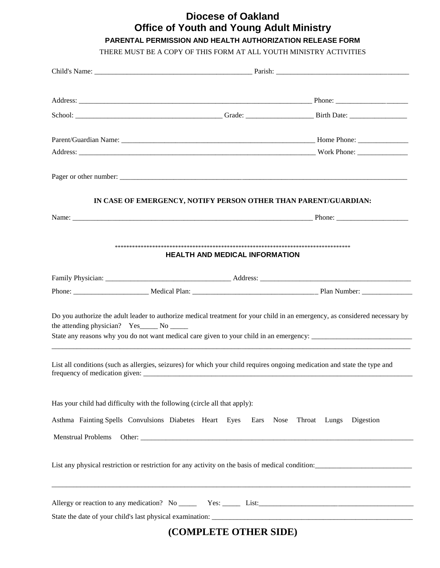## **Diocese of Oakland Office of Youth and Young Adult Ministry**

## **PARENTAL PERMISSION AND HEALTH AUTHORIZATION RELEASE FORM**

THERE MUST BE A COPY OF THIS FORM AT ALL YOUTH MINISTRY ACTIVITIES

|                                                                           | IN CASE OF EMERGENCY, NOTIFY PERSON OTHER THAN PARENT/GUARDIAN:                                                           |                                                                                                                             |
|---------------------------------------------------------------------------|---------------------------------------------------------------------------------------------------------------------------|-----------------------------------------------------------------------------------------------------------------------------|
|                                                                           |                                                                                                                           |                                                                                                                             |
|                                                                           |                                                                                                                           |                                                                                                                             |
|                                                                           | <b>HEALTH AND MEDICAL INFORMATION</b>                                                                                     |                                                                                                                             |
|                                                                           |                                                                                                                           |                                                                                                                             |
|                                                                           |                                                                                                                           |                                                                                                                             |
| the attending physician? Yes_______ No _______                            |                                                                                                                           | Do you authorize the adult leader to authorize medical treatment for your child in an emergency, as considered necessary by |
|                                                                           | List all conditions (such as allergies, seizures) for which your child requires ongoing medication and state the type and |                                                                                                                             |
| Has your child had difficulty with the following (circle all that apply): |                                                                                                                           |                                                                                                                             |
|                                                                           | Asthma Fainting Spells Convulsions Diabetes Heart Eyes Ears Nose Throat Lungs                                             | Digestion                                                                                                                   |
| <b>Menstrual Problems</b>                                                 |                                                                                                                           |                                                                                                                             |
|                                                                           |                                                                                                                           | List any physical restriction or restriction for any activity on the basis of medical condition:                            |
|                                                                           |                                                                                                                           |                                                                                                                             |
|                                                                           |                                                                                                                           |                                                                                                                             |
|                                                                           | (COMPLETE OTHER SIDE)                                                                                                     |                                                                                                                             |